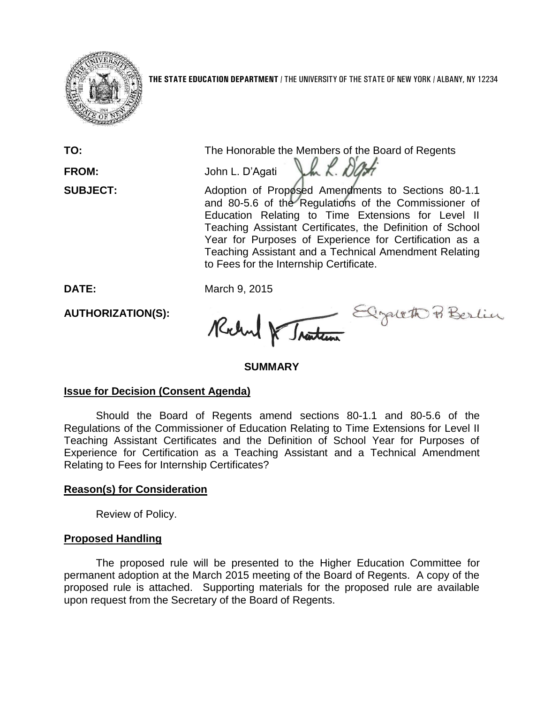

**THE STATE EDUCATION DEPARTMENT** / THE UNIVERSITY OF THE STATE OF NEW YORK / ALBANY, NY 12234

**TO:** The Honorable the Members of the Board of Regents<br>**FROM:** John L. D'Agati La L. D'Agati

**FROM:** John L. D'Agati

**SUBJECT:** Adoption of Proposed Amendments to Sections 80-1.1 and 80-5.6 of the Regulations of the Commissioner of Education Relating to Time Extensions for Level II Teaching Assistant Certificates, the Definition of School Year for Purposes of Experience for Certification as a Teaching Assistant and a Technical Amendment Relating to Fees for the Internship Certificate.

**AUTHORIZATION(S):**

DATE: March 9, 2015<br>**AUTHORIZATION(S):** Relayed Relayed Berlin

# **SUMMARY**

# **Issue for Decision (Consent Agenda)**

Should the Board of Regents amend sections 80-1.1 and 80-5.6 of the Regulations of the Commissioner of Education Relating to Time Extensions for Level II Teaching Assistant Certificates and the Definition of School Year for Purposes of Experience for Certification as a Teaching Assistant and a Technical Amendment Relating to Fees for Internship Certificates?

# **Reason(s) for Consideration**

Review of Policy.

# **Proposed Handling**

The proposed rule will be presented to the Higher Education Committee for permanent adoption at the March 2015 meeting of the Board of Regents. A copy of the proposed rule is attached. Supporting materials for the proposed rule are available upon request from the Secretary of the Board of Regents.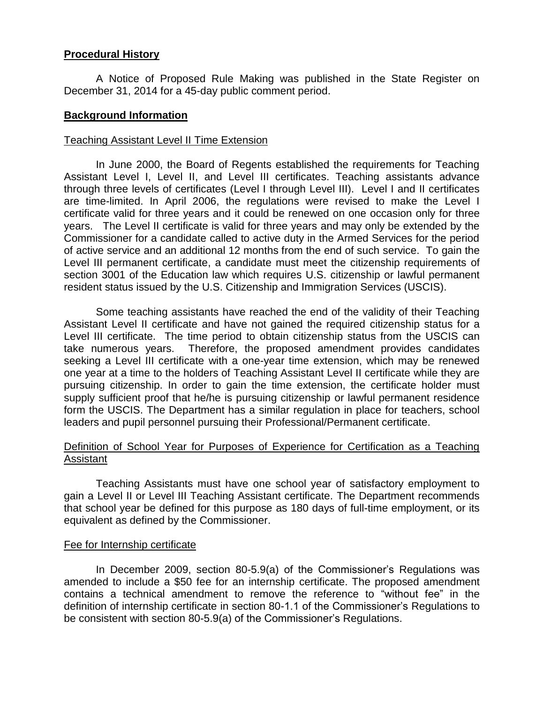## **Procedural History**

A Notice of Proposed Rule Making was published in the State Register on December 31, 2014 for a 45-day public comment period.

### **Background Information**

### Teaching Assistant Level II Time Extension

In June 2000, the Board of Regents established the requirements for Teaching Assistant Level I, Level II, and Level III certificates. Teaching assistants advance through three levels of certificates (Level I through Level III). Level I and II certificates are time-limited. In April 2006, the regulations were revised to make the Level I certificate valid for three years and it could be renewed on one occasion only for three years. The Level II certificate is valid for three years and may only be extended by the Commissioner for a candidate called to active duty in the Armed Services for the period of active service and an additional 12 months from the end of such service. To gain the Level III permanent certificate, a candidate must meet the citizenship requirements of section 3001 of the Education law which requires U.S. citizenship or lawful permanent resident status issued by the U.S. Citizenship and Immigration Services (USCIS).

Some teaching assistants have reached the end of the validity of their Teaching Assistant Level II certificate and have not gained the required citizenship status for a Level III certificate. The time period to obtain citizenship status from the USCIS can take numerous years. Therefore, the proposed amendment provides candidates seeking a Level III certificate with a one-year time extension, which may be renewed one year at a time to the holders of Teaching Assistant Level II certificate while they are pursuing citizenship. In order to gain the time extension, the certificate holder must supply sufficient proof that he/he is pursuing citizenship or lawful permanent residence form the USCIS. The Department has a similar regulation in place for teachers, school leaders and pupil personnel pursuing their Professional/Permanent certificate.

### Definition of School Year for Purposes of Experience for Certification as a Teaching **Assistant**

Teaching Assistants must have one school year of satisfactory employment to gain a Level II or Level III Teaching Assistant certificate. The Department recommends that school year be defined for this purpose as 180 days of full-time employment, or its equivalent as defined by the Commissioner.

#### Fee for Internship certificate

In December 2009, section 80-5.9(a) of the Commissioner's Regulations was amended to include a \$50 fee for an internship certificate. The proposed amendment contains a technical amendment to remove the reference to "without fee" in the definition of internship certificate in section 80-1.1 of the Commissioner's Regulations to be consistent with section 80-5.9(a) of the Commissioner's Regulations.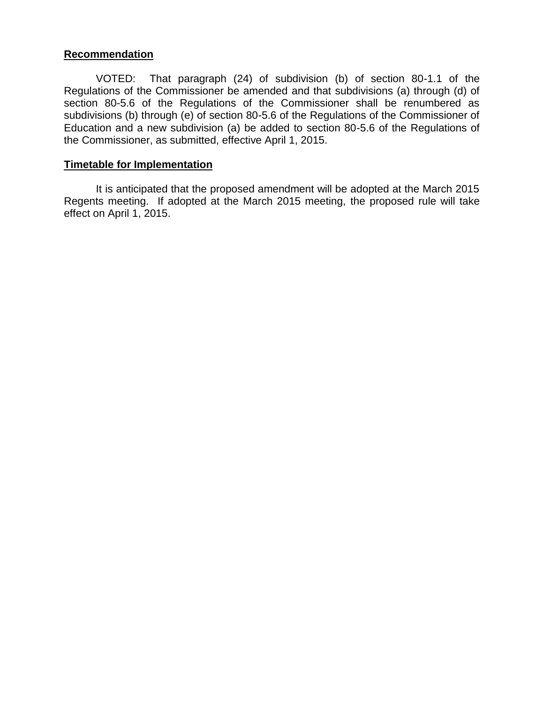### **Recommendation**

VOTED: That paragraph (24) of subdivision (b) of section 80-1.1 of the Regulations of the Commissioner be amended and that subdivisions (a) through (d) of section 80-5.6 of the Regulations of the Commissioner shall be renumbered as subdivisions (b) through (e) of section 80-5.6 of the Regulations of the Commissioner of Education and a new subdivision (a) be added to section 80-5.6 of the Regulations of the Commissioner, as submitted, effective April 1, 2015.

### **Timetable for Implementation**

It is anticipated that the proposed amendment will be adopted at the March 2015 Regents meeting. If adopted at the March 2015 meeting, the proposed rule will take effect on April 1, 2015.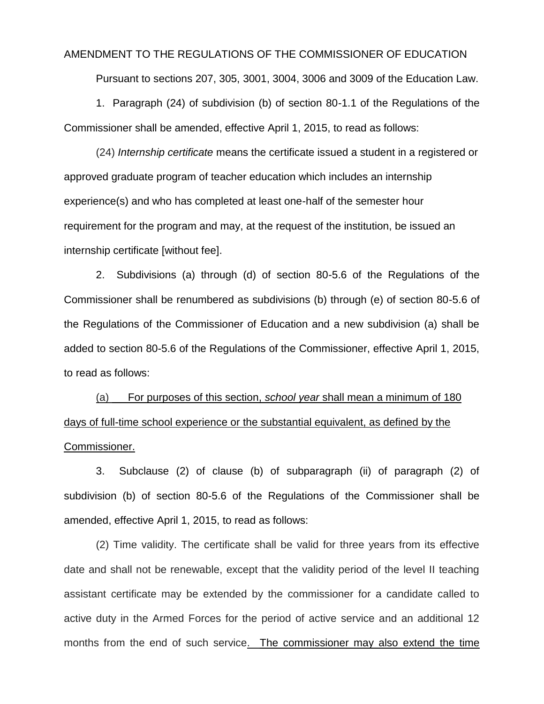#### AMENDMENT TO THE REGULATIONS OF THE COMMISSIONER OF EDUCATION

Pursuant to sections 207, 305, 3001, 3004, 3006 and 3009 of the Education Law.

1. Paragraph (24) of subdivision (b) of section 80-1.1 of the Regulations of the Commissioner shall be amended, effective April 1, 2015, to read as follows:

(24) *Internship certificate* means the certificate issued a student in a registered or approved graduate program of teacher education which includes an internship experience(s) and who has completed at least one-half of the semester hour requirement for the program and may, at the request of the institution, be issued an internship certificate [without fee].

2. Subdivisions (a) through (d) of section 80-5.6 of the Regulations of the Commissioner shall be renumbered as subdivisions (b) through (e) of section 80-5.6 of the Regulations of the Commissioner of Education and a new subdivision (a) shall be added to section 80-5.6 of the Regulations of the Commissioner, effective April 1, 2015, to read as follows:

(a) For purposes of this section, *school year* shall mean a minimum of 180 days of full-time school experience or the substantial equivalent, as defined by the Commissioner.

3. Subclause (2) of clause (b) of subparagraph (ii) of paragraph (2) of subdivision (b) of section 80-5.6 of the Regulations of the Commissioner shall be amended, effective April 1, 2015, to read as follows:

(2) Time validity. The certificate shall be valid for three years from its effective date and shall not be renewable, except that the validity period of the level II teaching assistant certificate may be extended by the commissioner for a candidate called to active duty in the Armed Forces for the period of active service and an additional 12 months from the end of such service. The commissioner may also extend the time